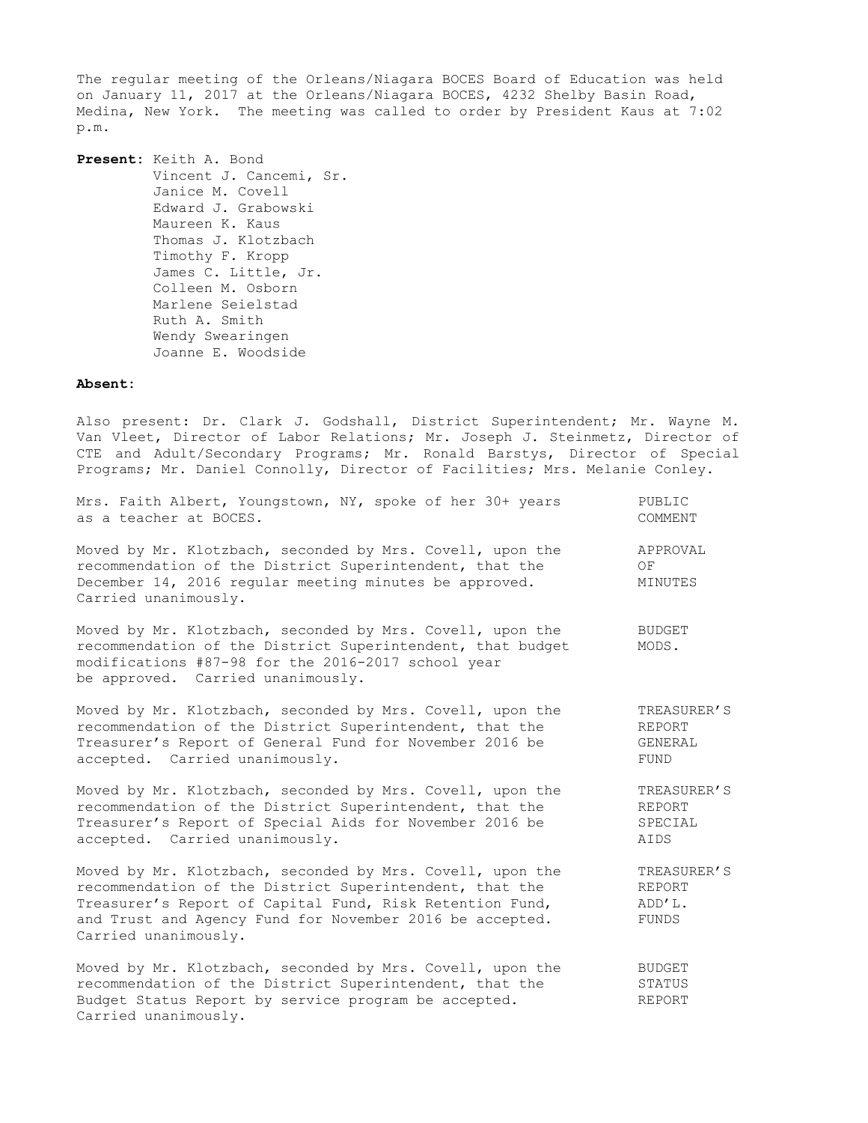The regular meeting of the Orleans/Niagara BOCES Board of Education was held on January 11, 2017 at the Orleans/Niagara BOCES, 4232 Shelby Basin Road, Medina, New York. The meeting was called to order by President Kaus at 7:02 p.m.

**Present:** Keith A. Bond Vincent J. Cancemi, Sr. Janice M. Covell Edward J. Grabowski Maureen K. Kaus Thomas J. Klotzbach Timothy F. Kropp James C. Little, Jr. Colleen M. Osborn Marlene Seielstad Ruth A. Smith Wendy Swearingen Joanne E. Woodside

## **Absent:**

Carried unanimously.

Also present: Dr. Clark J. Godshall, District Superintendent; Mr. Wayne M. Van Vleet, Director of Labor Relations; Mr. Joseph J. Steinmetz, Director of CTE and Adult/Secondary Programs; Mr. Ronald Barstys, Director of Special Programs; Mr. Daniel Connolly, Director of Facilities; Mrs. Melanie Conley.

| Mrs. Faith Albert, Youngstown, NY, spoke of her 30+ years                                                                                                                                                                                                            | PUBLIC                                   |
|----------------------------------------------------------------------------------------------------------------------------------------------------------------------------------------------------------------------------------------------------------------------|------------------------------------------|
| as a teacher at BOCES.                                                                                                                                                                                                                                               | COMMENT                                  |
| Moved by Mr. Klotzbach, seconded by Mrs. Covell, upon the<br>recommendation of the District Superintendent, that the<br>December 14, 2016 regular meeting minutes be approved.<br>Carried unanimously.                                                               | APPROVAL<br>ΟF<br>MINUTES                |
| Moved by Mr. Klotzbach, seconded by Mrs. Covell, upon the<br>recommendation of the District Superintendent, that budget<br>modifications #87-98 for the 2016-2017 school year<br>be approved. Carried unanimously.                                                   | <b>BUDGET</b><br>MODS.                   |
| Moved by Mr. Klotzbach, seconded by Mrs. Covell, upon the                                                                                                                                                                                                            | TREASURER'S                              |
| recommendation of the District Superintendent, that the                                                                                                                                                                                                              | REPORT                                   |
| Treasurer's Report of General Fund for November 2016 be                                                                                                                                                                                                              | GENERAL                                  |
| accepted. Carried unanimously.                                                                                                                                                                                                                                       | <b>FUND</b>                              |
| Moved by Mr. Klotzbach, seconded by Mrs. Covell, upon the                                                                                                                                                                                                            | TREASURER'S                              |
| recommendation of the District Superintendent, that the                                                                                                                                                                                                              | REPORT                                   |
| Treasurer's Report of Special Aids for November 2016 be                                                                                                                                                                                                              | SPECIAL                                  |
| accepted. Carried unanimously.                                                                                                                                                                                                                                       | AIDS                                     |
| Moved by Mr. Klotzbach, seconded by Mrs. Covell, upon the<br>recommendation of the District Superintendent, that the<br>Treasurer's Report of Capital Fund, Risk Retention Fund,<br>and Trust and Agency Fund for November 2016 be accepted.<br>Carried unanimously. | TREASURER'S<br>REPORT<br>ADD'L.<br>FUNDS |
| Moved by Mr. Klotzbach, seconded by Mrs. Covell, upon the                                                                                                                                                                                                            | BUDGET                                   |
| recommendation of the District Superintendent, that the                                                                                                                                                                                                              | STATUS                                   |
| Budget Status Report by service program be accepted.                                                                                                                                                                                                                 | REPORT                                   |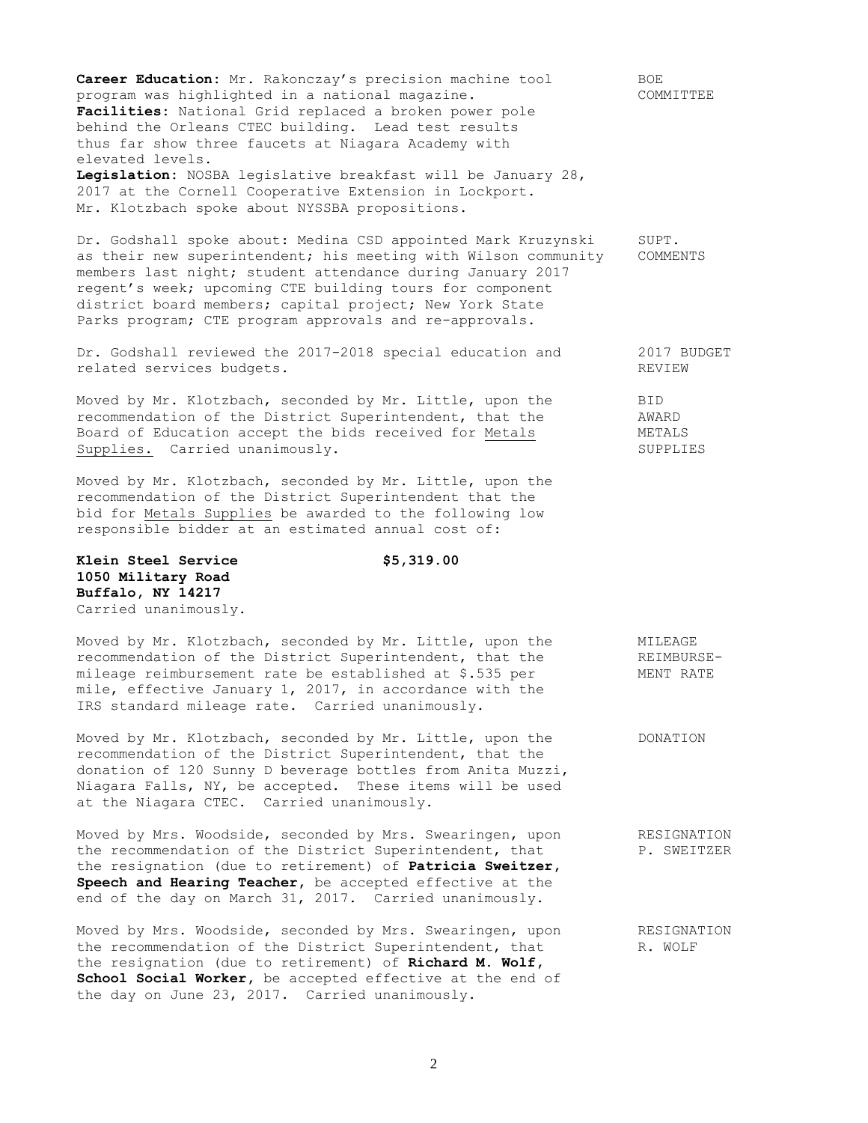**Career Education:** Mr. Rakonczay's precision machine tool BOE program was highlighted in a national magazine. COMMITTEE **Facilities:** National Grid replaced a broken power pole behind the Orleans CTEC building. Lead test results thus far show three faucets at Niagara Academy with elevated levels. **Legislation:** NOSBA legislative breakfast will be January 28, 2017 at the Cornell Cooperative Extension in Lockport.

Mr. Klotzbach spoke about NYSSBA propositions.

Dr. Godshall spoke about: Medina CSD appointed Mark Kruzynski SUPT. as their new superintendent; his meeting with Wilson community COMMENTS members last night; student attendance during January 2017 regent's week; upcoming CTE building tours for component district board members; capital project; New York State Parks program; CTE program approvals and re-approvals.

Dr. Godshall reviewed the 2017-2018 special education and 2017 BUDGET related services budgets. The contract of the contract of the REVIEW

Moved by Mr. Klotzbach, seconded by Mr. Little, upon the BID recommendation of the District Superintendent, that the AWARD Board of Education accept the bids received for Metals METALS Supplies. Carried unanimously. The supplies of the supplies of the supplies of the supplies of the supplies of the supplies of the supplies of the supplies of the supplies of the supplies of the supplies of the supplies of

Moved by Mr. Klotzbach, seconded by Mr. Little, upon the recommendation of the District Superintendent that the bid for Metals Supplies be awarded to the following low responsible bidder at an estimated annual cost of:

**Klein Steel Service \$5,319.00 1050 Military Road Buffalo, NY 14217** Carried unanimously.

Moved by Mr. Klotzbach, seconded by Mr. Little, upon the MILEAGE recommendation of the District Superintendent, that the REIMBURSEmileage reimbursement rate be established at \$.535 per MENT RATE mile, effective January 1, 2017, in accordance with the IRS standard mileage rate. Carried unanimously.

Moved by Mr. Klotzbach, seconded by Mr. Little, upon the DONATION recommendation of the District Superintendent, that the donation of 120 Sunny D beverage bottles from Anita Muzzi, Niagara Falls, NY, be accepted. These items will be used at the Niagara CTEC. Carried unanimously.

Moved by Mrs. Woodside, seconded by Mrs. Swearingen, upon RESIGNATION the recommendation of the District Superintendent, that P. SWEITZER the resignation (due to retirement) of **Patricia Sweitzer, Speech and Hearing Teacher,** be accepted effective at the end of the day on March 31, 2017. Carried unanimously.

Moved by Mrs. Woodside, seconded by Mrs. Swearingen, upon RESIGNATION the recommendation of the District Superintendent, that  $R. WOLF$ the resignation (due to retirement) of **Richard M. Wolf, School Social Worker,** be accepted effective at the end of the day on June 23, 2017. Carried unanimously.

2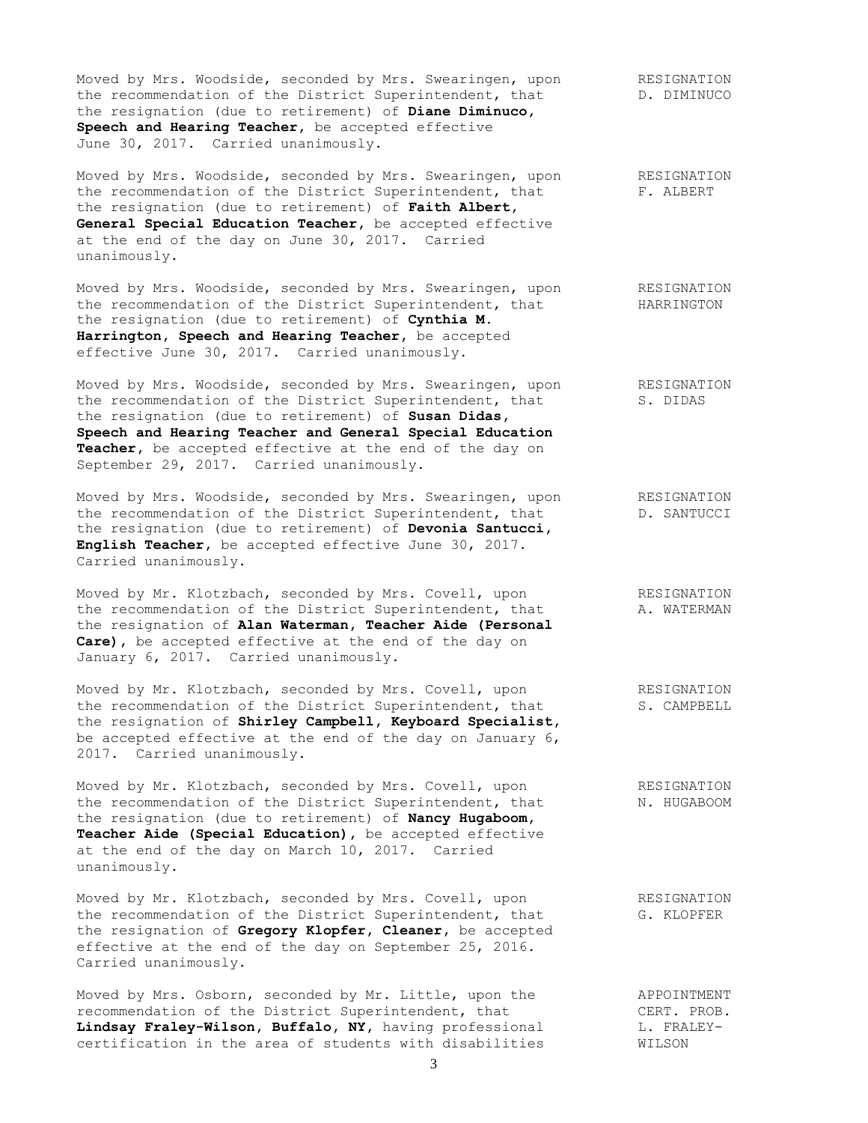Moved by Mrs. Woodside, seconded by Mrs. Swearingen, upon RESIGNATION the recommendation of the District Superintendent, that The D. DIMINUCO the resignation (due to retirement) of **Diane Diminuco, Speech and Hearing Teacher,** be accepted effective June 30, 2017. Carried unanimously.

Moved by Mrs. Woodside, seconded by Mrs. Swearingen, upon RESIGNATION the recommendation of the District Superintendent, that F. ALBERT the resignation (due to retirement) of **Faith Albert, General Special Education Teacher,** be accepted effective at the end of the day on June 30, 2017. Carried unanimously.

Moved by Mrs. Woodside, seconded by Mrs. Swearingen, upon RESIGNATION the recommendation of the District Superintendent, that HARRINGTON the resignation (due to retirement) of **Cynthia M. Harrington, Speech and Hearing Teacher,** be accepted effective June 30, 2017. Carried unanimously.

Moved by Mrs. Woodside, seconded by Mrs. Swearingen, upon RESIGNATION the recommendation of the District Superintendent, that S. DIDAS the resignation (due to retirement) of **Susan Didas, Speech and Hearing Teacher and General Special Education Teacher,** be accepted effective at the end of the day on September 29, 2017. Carried unanimously.

Moved by Mrs. Woodside, seconded by Mrs. Swearingen, upon RESIGNATION the recommendation of the District Superintendent, that  $D.$  SANTUCCI the resignation (due to retirement) of **Devonia Santucci, English Teacher,** be accepted effective June 30, 2017. Carried unanimously.

Moved by Mr. Klotzbach, seconded by Mrs. Covell, upon The RESIGNATION the recommendation of the District Superintendent, that A. WATERMAN the resignation of **Alan Waterman, Teacher Aide (Personal Care),** be accepted effective at the end of the day on January 6, 2017. Carried unanimously.

Moved by Mr. Klotzbach, seconded by Mrs. Covell, upon RESIGNATION the recommendation of the District Superintendent, that S. CAMPBELL the resignation of **Shirley Campbell, Keyboard Specialist,** be accepted effective at the end of the day on January 6, 2017. Carried unanimously.

Moved by Mr. Klotzbach, seconded by Mrs. Covell, upon RESIGNATION the recommendation of the District Superintendent, that N. HUGABOOM the resignation (due to retirement) of **Nancy Hugaboom, Teacher Aide (Special Education),** be accepted effective at the end of the day on March 10, 2017. Carried unanimously.

Moved by Mr. Klotzbach, seconded by Mrs. Covell, upon The RESIGNATION the recommendation of the District Superintendent, that G. KLOPFER the resignation of **Gregory Klopfer, Cleaner,** be accepted effective at the end of the day on September 25, 2016. Carried unanimously.

Moved by Mrs. Osborn, seconded by Mr. Little, upon the APPOINTMENT recommendation of the District Superintendent, that CERT. PROB. Lindsay Fraley-Wilson, Buffalo, NY, having professional **L. FRALEY**certification in the area of students with disabilities WILSON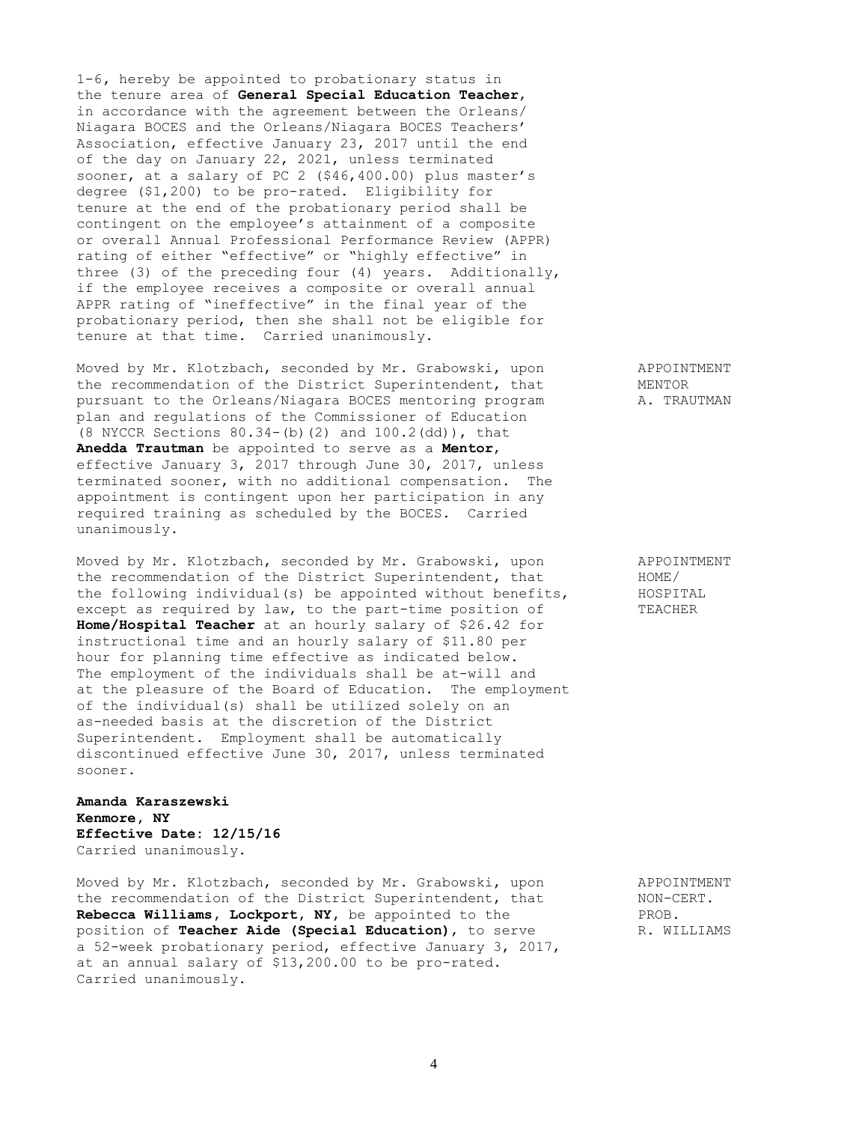1-6**,** hereby be appointed to probationary status in the tenure area of **General Special Education Teacher**, in accordance with the agreement between the Orleans/ Niagara BOCES and the Orleans/Niagara BOCES Teachers' Association, effective January 23, 2017 until the end of the day on January 22, 2021, unless terminated sooner, at a salary of PC 2 (\$46,400.00) plus master's degree (\$1,200) to be pro-rated. Eligibility for tenure at the end of the probationary period shall be contingent on the employee's attainment of a composite or overall Annual Professional Performance Review (APPR) rating of either "effective" or "highly effective" in three (3) of the preceding four (4) years. Additionally, if the employee receives a composite or overall annual APPR rating of "ineffective" in the final year of the probationary period, then she shall not be eligible for tenure at that time. Carried unanimously.

Moved by Mr. Klotzbach, seconded by Mr. Grabowski, upon APPOINTMENT the recommendation of the District Superintendent, that MENTOR pursuant to the Orleans/Niagara BOCES mentoring program A. TRAUTMAN plan and regulations of the Commissioner of Education (8 NYCCR Sections 80.34-(b)(2) and 100.2(dd)), that **Anedda Trautman** be appointed to serve as a **Mentor**, effective January 3, 2017 through June 30, 2017, unless terminated sooner, with no additional compensation. The appointment is contingent upon her participation in any required training as scheduled by the BOCES. Carried unanimously.

Moved by Mr. Klotzbach, seconded by Mr. Grabowski, upon APPOINTMENT<br>the recommendation of the District Superintendent, that HOME/ the recommendation of the District Superintendent, that HOME/<br>the following individual(s) be appointed without benefits, HOSPITAL the following individual(s) be appointed without benefits, except as required by law, to the part-time position of TEACHER **Home/Hospital Teacher** at an hourly salary of \$26.42 for instructional time and an hourly salary of \$11.80 per hour for planning time effective as indicated below. The employment of the individuals shall be at-will and at the pleasure of the Board of Education. The employment of the individual(s) shall be utilized solely on an as-needed basis at the discretion of the District Superintendent. Employment shall be automatically discontinued effective June 30, 2017, unless terminated sooner.

## **Amanda Karaszewski Kenmore, NY Effective Date: 12/15/16** Carried unanimously.

Moved by Mr. Klotzbach, seconded by Mr. Grabowski, upon APPOINTMENT the recommendation of the District Superintendent, that MON-CERT. **Rebecca Williams, Lockport, NY,** be appointed to the PROB. position of **Teacher Aide (Special Education)**, to serve R. WILLIAMS a 52-week probationary period, effective January 3, 2017, at an annual salary of \$13,200.00 to be pro-rated. Carried unanimously.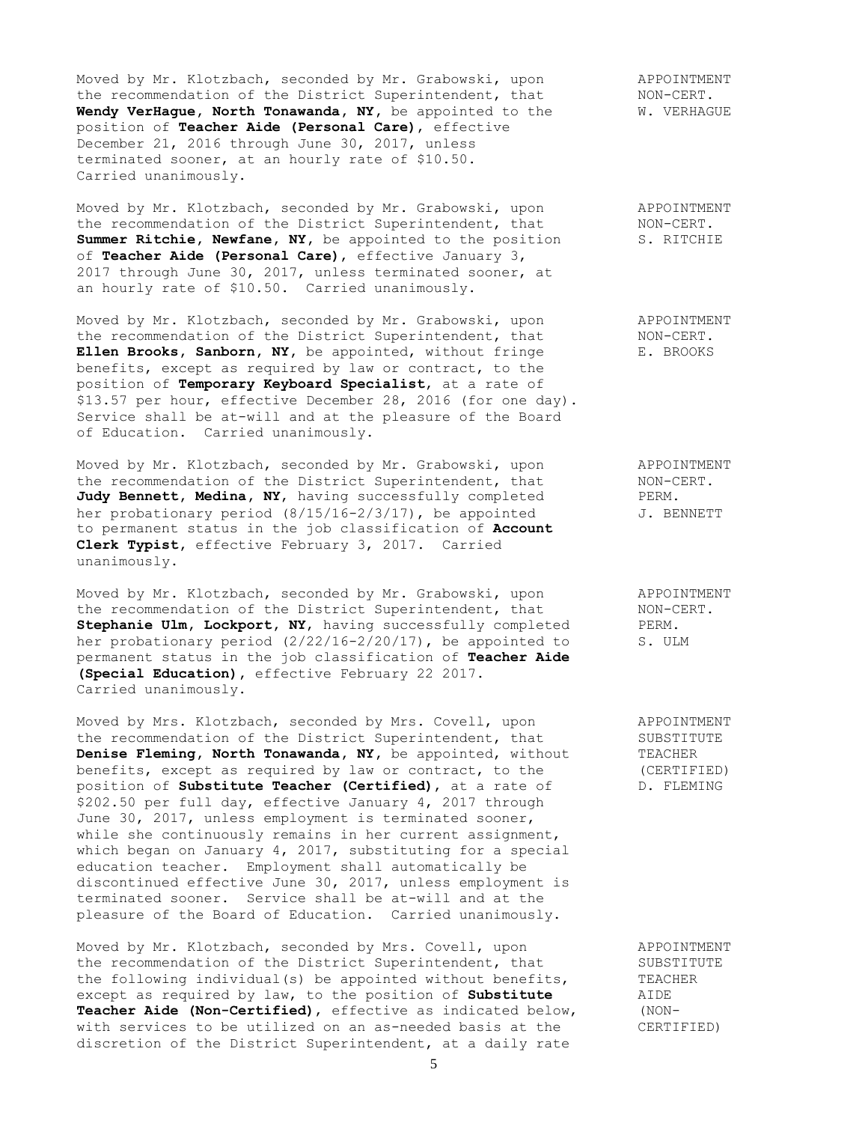Moved by Mr. Klotzbach, seconded by Mr. Grabowski, upon and APPOINTMENT the recommendation of the District Superintendent, that MON-CERT. Wendy VerHague, North Tonawanda, NY, be appointed to the W. VERHAGUE position of **Teacher Aide (Personal Care)**, effective December 21, 2016 through June 30, 2017, unless terminated sooner, at an hourly rate of \$10.50. Carried unanimously.

Moved by Mr. Klotzbach, seconded by Mr. Grabowski, upon APPOINTMENT the recommendation of the District Superintendent, that MON-CERT. the recommendation of the District Superintendent, that MON-CERT.<br> **Summer Ritchie, Newfane, NY**, be appointed to the position S. RITCHIE of **Teacher Aide (Personal Care)**, effective January 3, 2017 through June 30, 2017, unless terminated sooner, at an hourly rate of \$10.50. Carried unanimously.

Moved by Mr. Klotzbach, seconded by Mr. Grabowski, upon APPOINTMENT<br>the recommendation of the District Superintendent, that MON-CERT. the recommendation of the District Superintendent, that Ellen Brooks, Sanborn, NY, be appointed, without fringe E. BROOKS benefits, except as required by law or contract, to the position of **Temporary Keyboard Specialist**, at a rate of \$13.57 per hour, effective December 28, 2016 (for one day). Service shall be at-will and at the pleasure of the Board of Education. Carried unanimously.

Moved by Mr. Klotzbach, seconded by Mr. Grabowski, upon APPOINTMENT the recommendation of the District Superintendent, that MON-CERT. Judy Bennett, Medina, NY, having successfully completed PERM. her probationary period  $(8/15/16-2/3/17)$ , be appointed  $J$ . BENNETT to permanent status in the job classification of **Account Clerk Typist,** effective February 3, 2017. Carried unanimously.

Moved by Mr. Klotzbach, seconded by Mr. Grabowski, upon APPOINTMENT the recommendation of the District Superintendent, that MON-CERT. Stephanie Ulm, Lockport, NY, having successfully completed PERM. her probationary period (2/22/16-2/20/17), be appointed to S. ULM permanent status in the job classification of **Teacher Aide (Special Education),** effective February 22 2017. Carried unanimously.

Moved by Mrs. Klotzbach, seconded by Mrs. Covell, upon APPOINTMENT the recommendation of the District Superintendent, that SUBSTITUTE **Denise Fleming, North Tonawanda, NY, be appointed, without TEACHER** benefits, except as required by law or contract, to the (CERTIFIED)<br>position of **Substitute Teacher (Certified)**, at a rate of D. FLEMING position of **Substitute Teacher (Certified)**, at a rate of \$202.50 per full day, effective January 4, 2017 through June 30, 2017, unless employment is terminated sooner, while she continuously remains in her current assignment, which began on January 4, 2017, substituting for a special education teacher. Employment shall automatically be discontinued effective June 30, 2017, unless employment is terminated sooner. Service shall be at-will and at the pleasure of the Board of Education. Carried unanimously.

Moved by Mr. Klotzbach, seconded by Mrs. Covell, upon APPOINTMENT the recommendation of the District Superintendent, that SUBSTITUTE the following individual(s) be appointed without benefits, TEACHER<br>except as required by law, to the position of **Substitute** AIDE except as required by law, to the position of Substitute **Teacher Aide (Non-Certified)**, effective as indicated below, (NONwith services to be utilized on an as-needed basis at the CERTIFIED) discretion of the District Superintendent, at a daily rate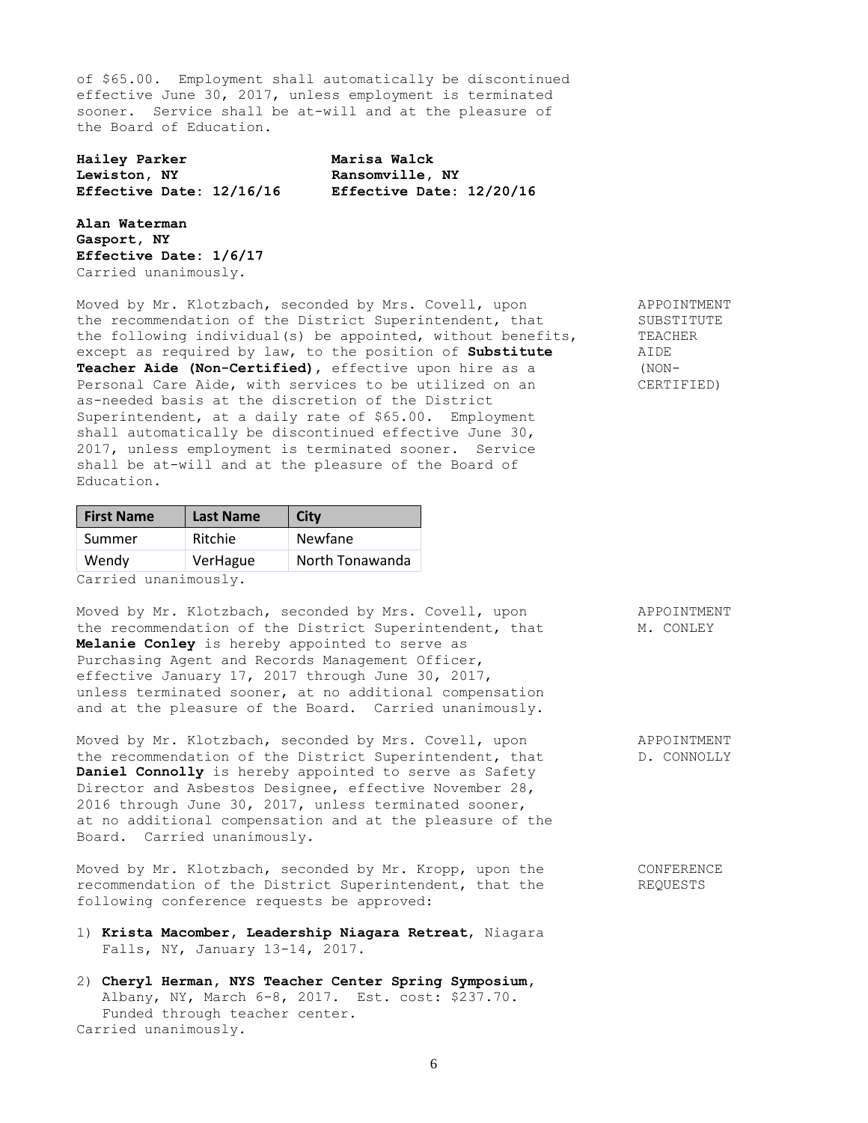of \$65.00. Employment shall automatically be discontinued effective June 30, 2017, unless employment is terminated sooner. Service shall be at-will and at the pleasure of the Board of Education.

**Hailey Parker Marisa Walck Lewiston, NY Ransomville, NY Effective Date: 12/16/16 Effective Date: 12/20/16**

**Alan Waterman Gasport, NY Effective Date: 1/6/17** Carried unanimously.

Moved by Mr. Klotzbach, seconded by Mrs. Covell, upon APPOINTMENT the recommendation of the District Superintendent, that SUBSTITUTE<br>the following individual(s) be appointed, without benefits, TEACHER the following individual(s) be appointed, without benefits, TEACI<br>except as required by law, to the position of **Substitute** AIDE except as required by law, to the position of **Substitute** AIDE<br> **Teacher Aide (Non-Certified)**, effective upon hire as a (NON-Teacher Aide (Non-Certified), effective upon hire as a Personal Care Aide, with services to be utilized on an CERTIFIED) as-needed basis at the discretion of the District Superintendent, at a daily rate of \$65.00. Employment shall automatically be discontinued effective June 30, 2017, unless employment is terminated sooner. Service shall be at-will and at the pleasure of the Board of Education.

| <b>First Name</b> | <b>Last Name</b> | <b>City</b>     |
|-------------------|------------------|-----------------|
| Summer            | Ritchie          | <b>Newfane</b>  |
| Wendy             | VerHague         | North Tonawanda |

Carried unanimously.

Moved by Mr. Klotzbach, seconded by Mrs. Covell, upon APPOINTMENT the recommendation of the District Superintendent, that M. CONLEY **Melanie Conley** is hereby appointed to serve as Purchasing Agent and Records Management Officer, effective January 17, 2017 through June 30, 2017, unless terminated sooner, at no additional compensation and at the pleasure of the Board. Carried unanimously.

Moved by Mr. Klotzbach, seconded by Mrs. Covell, upon APPOINTMENT the recommendation of the District Superintendent, that  $D.$  CONNOLLY **Daniel Connolly** is hereby appointed to serve as Safety Director and Asbestos Designee, effective November 28, 2016 through June 30, 2017, unless terminated sooner, at no additional compensation and at the pleasure of the Board. Carried unanimously.

Moved by Mr. Klotzbach, seconded by Mr. Kropp, upon the CONFERENCE recommendation of the District Superintendent, that the REQUESTS following conference requests be approved:

- 1) **Krista Macomber, Leadership Niagara Retreat**, Niagara Falls, NY, January 13-14, 2017.
- 2) **Cheryl Herman, NYS Teacher Center Spring Symposium,** Albany, NY, March 6-8, 2017. Est. cost: \$237.70. Funded through teacher center. Carried unanimously.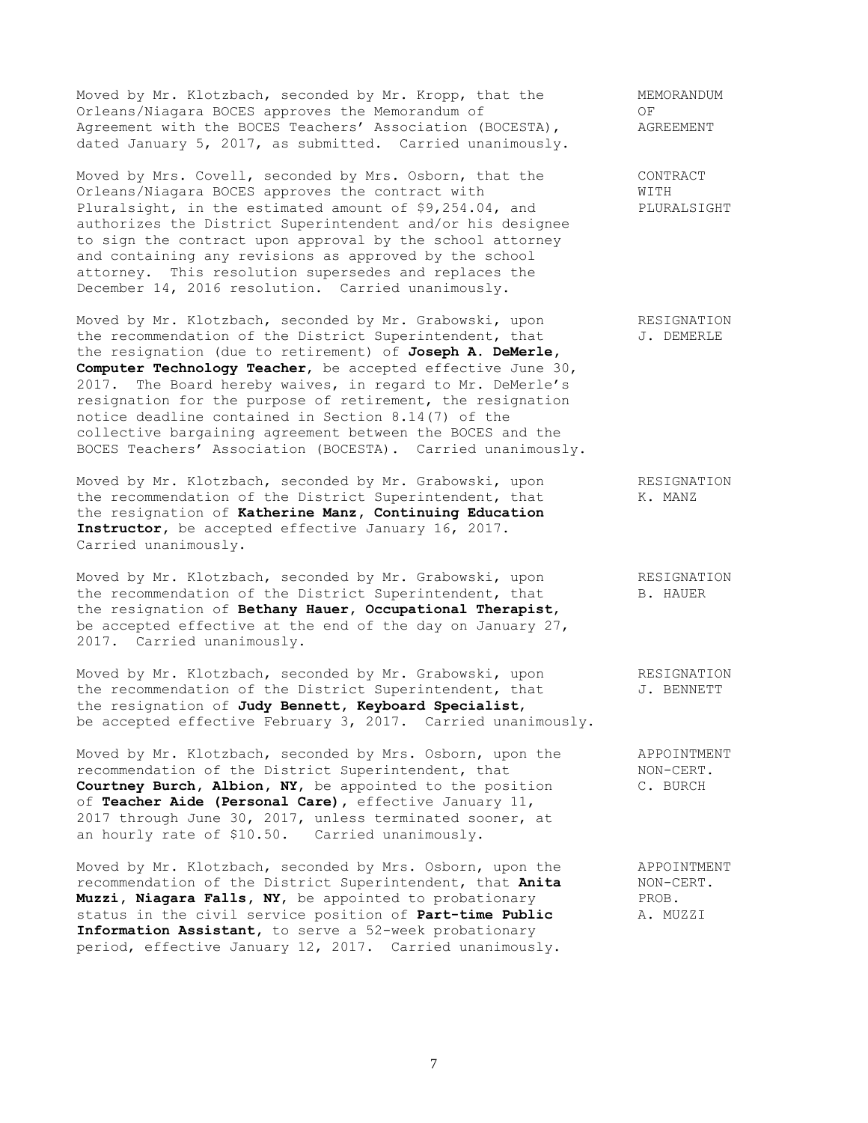Moved by Mr. Klotzbach, seconded by Mr. Kropp, that the MEMORANDUM Orleans/Niagara BOCES approves the Memorandum of OF Agreement with the BOCES Teachers' Association (BOCESTA), AGREEMENT dated January 5, 2017, as submitted. Carried unanimously.

Moved by Mrs. Covell, seconded by Mrs. Osborn, that the CONTRACT Orleans/Niagara BOCES approves the contract with WITH Pluralsight, in the estimated amount of \$9,254.04, and PLURALSIGHT authorizes the District Superintendent and/or his designee to sign the contract upon approval by the school attorney and containing any revisions as approved by the school attorney. This resolution supersedes and replaces the December 14, 2016 resolution. Carried unanimously.

Moved by Mr. Klotzbach, seconded by Mr. Grabowski, upon RESIGNATION the recommendation of the District Superintendent, that  $J.$  DEMERLE the resignation (due to retirement) of **Joseph A. DeMerle, Computer Technology Teacher**, be accepted effective June 30, 2017. The Board hereby waives, in regard to Mr. DeMerle's resignation for the purpose of retirement, the resignation notice deadline contained in Section 8.14(7) of the collective bargaining agreement between the BOCES and the BOCES Teachers' Association (BOCESTA). Carried unanimously.

Moved by Mr. Klotzbach, seconded by Mr. Grabowski, upon RESIGNATION the recommendation of the District Superintendent, that K. MANZ the resignation of **Katherine Manz, Continuing Education Instructor,** be accepted effective January 16, 2017. Carried unanimously.

Moved by Mr. Klotzbach, seconded by Mr. Grabowski, upon RESIGNATION<br>the recommendation of the District Superintendent, that B. HAUER the recommendation of the District Superintendent, that the resignation of **Bethany Hauer, Occupational Therapist**, be accepted effective at the end of the day on January 27, 2017. Carried unanimously.

Moved by Mr. Klotzbach, seconded by Mr. Grabowski, upon RESIGNATION the recommendation of the District Superintendent, that  $J.$  BENNETT the resignation of **Judy Bennett, Keyboard Specialist**, be accepted effective February 3, 2017. Carried unanimously.

Moved by Mr. Klotzbach, seconded by Mrs. Osborn, upon the APPOINTMENT recommendation of the District Superintendent, that MON-CERT. **Courtney Burch, Albion, NY**, be appointed to the position C. BURCH of **Teacher Aide (Personal Care),** effective January 11, 2017 through June 30, 2017, unless terminated sooner, at an hourly rate of \$10.50. Carried unanimously.

Moved by Mr. Klotzbach, seconded by Mrs. Osborn, upon the APPOINTMENT recommendation of the District Superintendent, that **Anita** MON-CERT. recommendation of the District Superintendent, that Anita **Muzzi, Niagara Falls, NY,** be appointed to probationary **PROB.**<br>status in the civil service position of **Part-time Public** A. MUZZI status in the civil service position of **Part-time Public Information Assistant,** to serve a 52-week probationary period, effective January 12, 2017. Carried unanimously.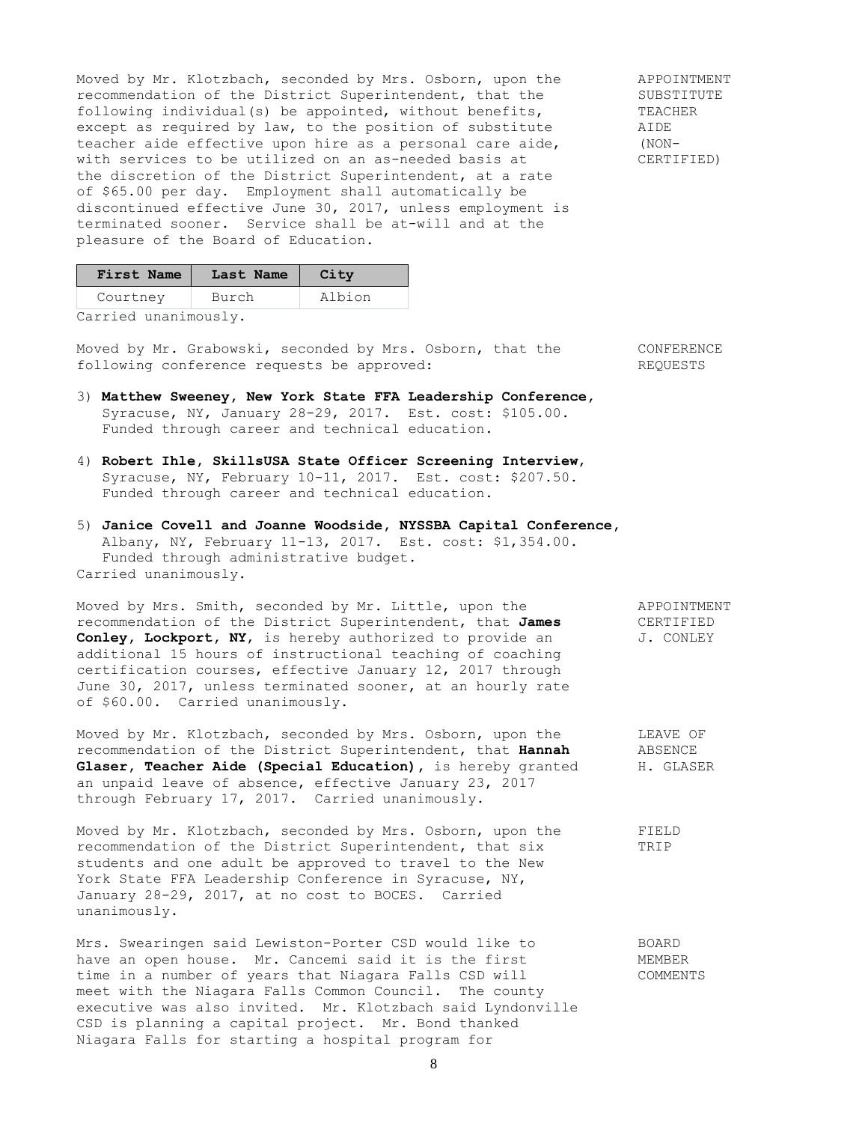Moved by Mr. Klotzbach, seconded by Mrs. Osborn, upon the APPOINTMENT recommendation of the District Superintendent, that the SUBSTITUTE<br>following individual(s) be appointed, without benefits, TEACHER following individual(s) be appointed, without benefits, except as required by law, to the position of substitute AIDE teacher aide effective upon hire as a personal care aide, (NONwith services to be utilized on an as-needed basis at CERTIFIED) the discretion of the District Superintendent, at a rate of \$65.00 per day. Employment shall automatically be discontinued effective June 30, 2017, unless employment is terminated sooner. Service shall be at-will and at the pleasure of the Board of Education.

| First Name | Last Name | City   |
|------------|-----------|--------|
| Courtney   | Burch     | Albion |

Carried unanimously.

Moved by Mr. Grabowski, seconded by Mrs. Osborn, that the CONFERENCE following conference requests be approved: REQUESTS

- 3) **Matthew Sweeney, New York State FFA Leadership Conference,** Syracuse, NY, January 28-29, 2017. Est. cost: \$105.00. Funded through career and technical education.
- 4) **Robert Ihle, SkillsUSA State Officer Screening Interview**, Syracuse, NY, February 10-11, 2017. Est. cost: \$207.50. Funded through career and technical education.
- 5) **Janice Covell and Joanne Woodside, NYSSBA Capital Conference,** Albany, NY, February 11-13, 2017. Est. cost: \$1,354.00. Funded through administrative budget. Carried unanimously.

Moved by Mrs. Smith, seconded by Mr. Little, upon the APPOINTMENT recommendation of the District Superintendent, that **James** CERTIFIED **Conley, Lockport, NY,** is hereby authorized to provide an  $J.$  CONLEY additional 15 hours of instructional teaching of coaching certification courses, effective January 12, 2017 through June 30, 2017, unless terminated sooner, at an hourly rate of \$60.00. Carried unanimously.

Moved by Mr. Klotzbach, seconded by Mrs. Osborn, upon the LEAVE OF recommendation of the District Superintendent, that **Hannah** ABSENCE recommendation of the District Superintendent, that Hannah Glaser, Teacher Aide (Special Education), is hereby granted H. GLASER an unpaid leave of absence, effective January 23, 2017 through February 17, 2017. Carried unanimously.

Moved by Mr. Klotzbach, seconded by Mrs. Osborn, upon the FIELD recommendation of the District Superintendent, that six TRIP students and one adult be approved to travel to the New York State FFA Leadership Conference in Syracuse, NY, January 28-29, 2017, at no cost to BOCES. Carried unanimously.

Mrs. Swearingen said Lewiston-Porter CSD would like to BOARD have an open house. Mr. Cancemi said it is the first The MEMBER time in a number of years that Niagara Falls CSD will COMMENTS meet with the Niagara Falls Common Council. The county executive was also invited. Mr. Klotzbach said Lyndonville CSD is planning a capital project. Mr. Bond thanked Niagara Falls for starting a hospital program for

8